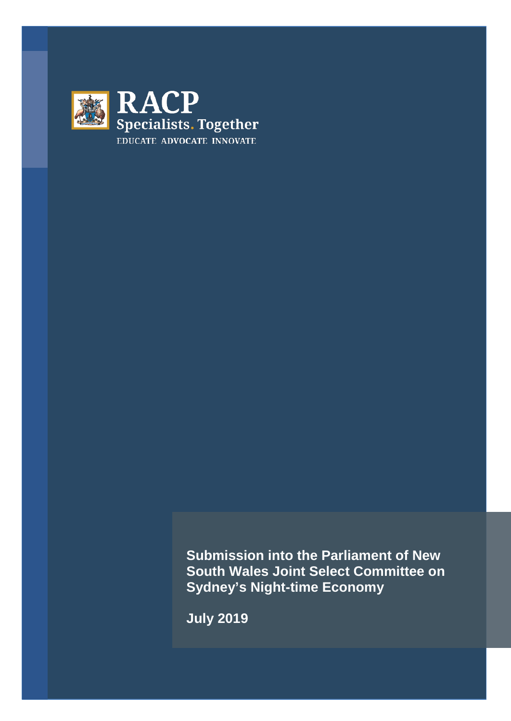

**Submission into the Parliament of New South Wales Joint Select Committee on Sydney's Night-time Economy** 

**July 2019**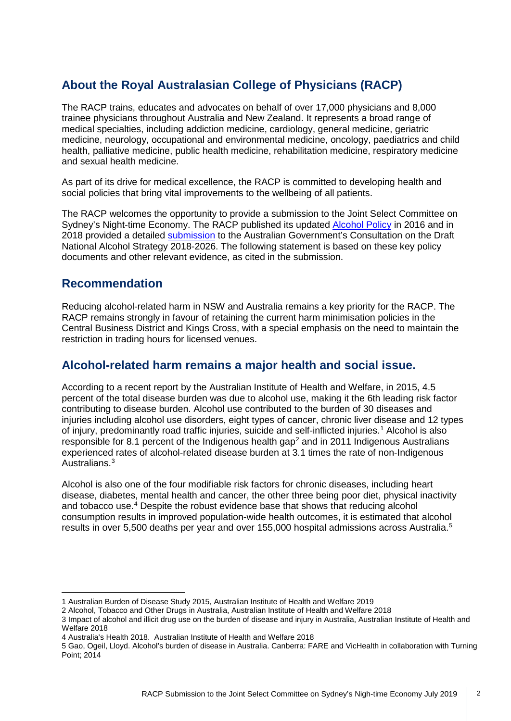# **About the Royal Australasian College of Physicians (RACP)**

The RACP trains, educates and advocates on behalf of over 17,000 physicians and 8,000 trainee physicians throughout Australia and New Zealand. It represents a broad range of medical specialties, including addiction medicine, cardiology, general medicine, geriatric medicine, neurology, occupational and environmental medicine, oncology, paediatrics and child health, palliative medicine, public health medicine, rehabilitation medicine, respiratory medicine and sexual health medicine.

As part of its drive for medical excellence, the RACP is committed to developing health and social policies that bring vital improvements to the wellbeing of all patients.

The RACP welcomes the opportunity to provide a submission to the Joint Select Committee on Sydney's Night-time Economy. The RACP published its updated [Alcohol Policy](https://www.racp.edu.au/docs/default-source/advocacy-library/pa-racp-ranzcp-alcohol-policy.pdf?sfvrsn=3f78331a_6) in 2016 and in 2018 provided a detailed [submission](https://www.racp.edu.au/docs/default-source/advocacy-library/racpsubmission-consultation-on-the-australian-draft-national-alcohol-strategy-2018-2026.pdf) to the Australian Government's Consultation on the [Draft](https://www.racp.edu.au/docs/default-source/advocacy-library/racpsubmission-consultation-on-the-australian-draft-national-alcohol-strategy-2018-2026.pdf)  [National Alcohol Strategy](https://www.racp.edu.au/docs/default-source/advocacy-library/racpsubmission-consultation-on-the-australian-draft-national-alcohol-strategy-2018-2026.pdf) 2018-2026. The following statement is based on these key policy documents and other relevant evidence, as cited in the submission.

### **Recommendation**

Reducing alcohol-related harm in NSW and Australia remains a key priority for the RACP. The RACP remains strongly in favour of retaining the current harm minimisation policies in the Central Business District and Kings Cross, with a special emphasis on the need to maintain the restriction in trading hours for licensed venues.

## **Alcohol-related harm remains a major health and social issue.**

According to a recent report by the Australian Institute of Health and Welfare, in 2015, 4.5 percent of the total disease burden was due to alcohol use, making it the 6th leading risk factor contributing to disease burden. Alcohol use contributed to the burden of 30 diseases and injuries including alcohol use disorders, eight types of cancer, chronic liver disease and 12 types of injury, predominantly road traffic injuries, suicide and self-inflicted injuries.[1](#page-1-0) Alcohol is also responsible for 8.1 percent of the Indigenous health gap<sup>[2](#page-1-1)</sup> and in 2011 Indigenous Australians experienced rates of alcohol-related disease burden at 3.1 times the rate of non-Indigenous Australians.[3](#page-1-2)

Alcohol is also one of the four modifiable risk factors for chronic diseases, including heart disease, diabetes, mental health and cancer, the other three being poor diet, physical inactivity and tobacco use.<sup>[4](#page-1-3)</sup> Despite the robust evidence base that shows that reducing alcohol consumption results in improved population-wide health outcomes, it is estimated that alcohol results in over [5](#page-1-4),500 deaths per year and over 155,000 hospital admissions across Australia.<sup>5</sup>

<sup>1</sup> Australian Burden of Disease Study 2015, Australian Institute of Health and Welfare <sup>2019</sup>

<span id="page-1-1"></span><span id="page-1-0"></span><sup>2</sup> Alcohol, Tobacco and Other Drugs in Australia, Australian Institute of Health and Welfare 2018

<span id="page-1-2"></span><sup>3</sup> Impact of alcohol and illicit drug use on the burden of disease and injury in Australia, Australian Institute of Health and Welfare 2018

<span id="page-1-3"></span><sup>4</sup> Australia's Health 2018. Australian Institute of Health and Welfare 2018

<span id="page-1-4"></span><sup>5</sup> Gao, Ogeil, Lloyd. Alcohol's burden of disease in Australia. Canberra: FARE and VicHealth in collaboration with Turning Point; 2014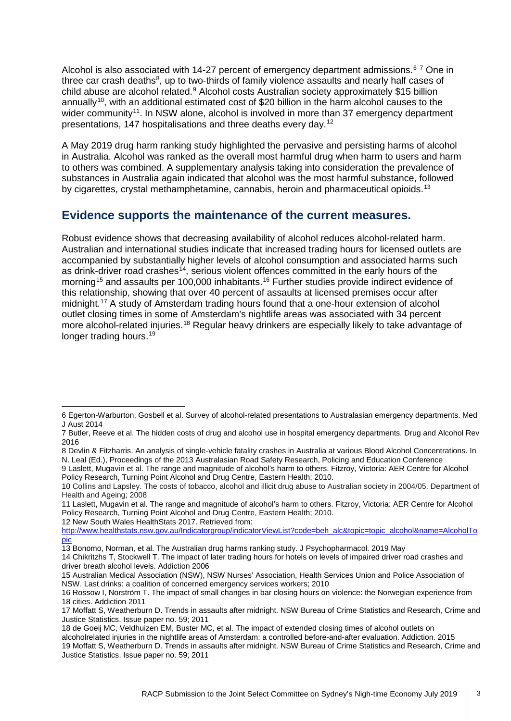Alcohol is also associated with 14-27 percent of emergency department admissions.<sup>[6](#page-2-0)[7](#page-2-1)</sup> One in three car crash deaths<sup>[8](#page-2-2)</sup>, up to two-thirds of family violence assaults and nearly half cases of child abuse are alcohol related. [9](#page-2-3) Alcohol costs Australian society approximately \$15 billion annually<sup>[10](#page-2-4)</sup>, with an additional estimated cost of \$20 billion in the harm alcohol causes to the wider community<sup>11</sup>. In NSW alone, alcohol is involved in more than 37 emergency department presentations, 147 hospitalisations and three deaths every day.[12](#page-2-6)

A May 2019 drug harm ranking study highlighted the pervasive and persisting harms of alcohol in Australia. Alcohol was ranked as the overall most harmful drug when harm to users and harm to others was combined. A supplementary analysis taking into consideration the prevalence of substances in Australia again indicated that alcohol was the most harmful substance, followed by cigarettes, crystal methamphetamine, cannabis, heroin and pharmaceutical opioids.<sup>[13](#page-2-7)</sup>

### **Evidence supports the maintenance of the current measures.**

Robust evidence shows that decreasing availability of alcohol reduces alcohol-related harm. Australian and international studies indicate that increased trading hours for licensed outlets are accompanied by substantially higher levels of alcohol consumption and associated harms such as drink-driver road crashes<sup>[14](#page-2-8)</sup>, serious violent offences committed in the early hours of the morning<sup>[15](#page-2-9)</sup> and assaults per 100,000 inhabitants.<sup>[16](#page-2-10)</sup> Further studies provide indirect evidence of this relationship, showing that over 40 percent of assaults at licensed premises occur after midnight.[17](#page-2-11) A study of Amsterdam trading hours found that a one-hour extension of alcohol outlet closing times in some of Amsterdam's nightlife areas was associated with 34 percent more alcohol-related injuries.[18](#page-2-12) Regular heavy drinkers are especially likely to take advantage of longer trading hours.<sup>[19](#page-2-13)</sup>

<span id="page-2-2"></span>8 Devlin & Fitzharris. An analysis of single-vehicle fatality crashes in Australia at various Blood Alcohol Concentrations. In N. Leal (Ed.), Proceedings of the 2013 Australasian Road Safety Research, Policing and Education Conference

<span id="page-2-3"></span>9 Laslett, Mugavin et al. The range and magnitude of alcohol's harm to others. Fitzroy, Victoria: AER Centre for Alcohol Policy Research, Turning Point Alcohol and Drug Centre, Eastern Health; 2010.

<span id="page-2-6"></span>12 New South Wales HealthStats 2017. Retrieved from:

<span id="page-2-0"></span><sup>6</sup> Egerton-Warburton, Gosbell et al. Survey of alcohol-related presentations to Australasian emergency departments. Med J Aust 2014

<span id="page-2-1"></span><sup>7</sup> Butler, Reeve et al. The hidden costs of drug and alcohol use in hospital emergency departments. Drug and Alcohol Rev 2016

<span id="page-2-4"></span><sup>10</sup> Collins and Lapsley. The costs of tobacco, alcohol and illicit drug abuse to Australian society in 2004/05. Department of Health and Ageing; 2008

<span id="page-2-5"></span><sup>11</sup> Laslett, Mugavin et al. The range and magnitude of alcohol's harm to others. Fitzroy, Victoria: AER Centre for Alcohol Policy Research, Turning Point Alcohol and Drug Centre, Eastern Health; 2010.

[http://www.healthstats.nsw.gov.au/Indicatorgroup/indicatorViewList?code=beh\\_alc&topic=topic\\_alcohol&name=AlcoholTo](http://www.healthstats.nsw.gov.au/Indicatorgroup/indicatorViewList?code=beh_alc&topic=topic_alcohol&name=AlcoholTopic) [pic](http://www.healthstats.nsw.gov.au/Indicatorgroup/indicatorViewList?code=beh_alc&topic=topic_alcohol&name=AlcoholTopic)

<sup>13</sup> Bonomo, Norman, et al. The Australian drug harms ranking study. [J Psychopharmacol.](https://www.ncbi.nlm.nih.gov/pubmed/31081439) 2019 May

<span id="page-2-8"></span><span id="page-2-7"></span><sup>14</sup> Chikritzhs T, Stockwell T. The impact of later trading hours for hotels on levels of impaired driver road crashes and driver breath alcohol levels. Addiction 2006

<span id="page-2-9"></span><sup>15</sup> Australian Medical Association (NSW), NSW Nurses' Association, Health Services Union and Police Association of NSW. Last drinks: a coalition of concerned emergency services workers; 2010

<span id="page-2-10"></span><sup>16</sup> Rossow I, Norström T. The impact of small changes in bar closing hours on violence: the Norwegian experience from 18 cities. Addiction 2011

<span id="page-2-11"></span><sup>17</sup> Moffatt S, Weatherburn D. Trends in assaults after midnight. NSW Bureau of Crime Statistics and Research, Crime and Justice Statistics. Issue paper no. 59; 2011

<span id="page-2-12"></span><sup>18</sup> de Goeij MC, Veldhuizen EM, Buster MC, et al. The impact of extended closing times of alcohol outlets on

<span id="page-2-13"></span>alcoholrelated injuries in the nightlife areas of Amsterdam: a controlled before-and-after evaluation. Addiction. 2015 19 Moffatt S, Weatherburn D. Trends in assaults after midnight. NSW Bureau of Crime Statistics and Research, Crime and Justice Statistics. Issue paper no. 59; 2011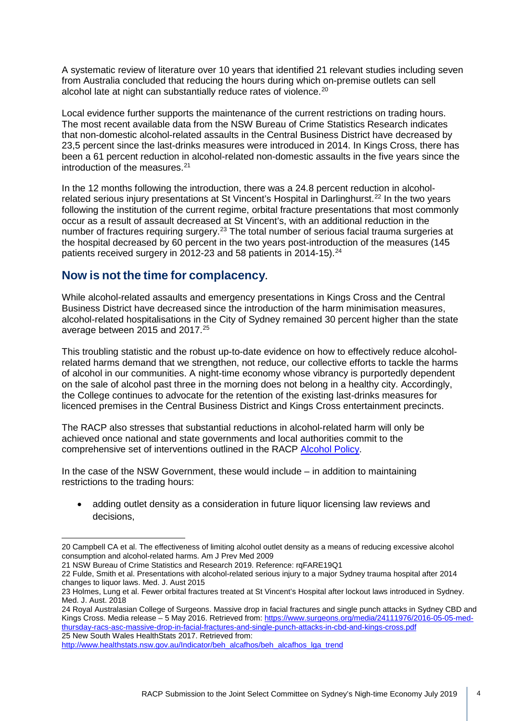A systematic review of literature over 10 years that identified 21 relevant studies including seven from Australia concluded that reducing the hours during which on-premise outlets can sell alcohol late at night can substantially reduce rates of violence.<sup>[20](#page-3-0)</sup>

Local evidence further supports the maintenance of the current restrictions on trading hours. The most recent available data from the NSW Bureau of Crime Statistics Research indicates that non-domestic alcohol-related assaults in the Central Business District have decreased by 23,5 percent since the last-drinks measures were introduced in 2014. In Kings Cross, there has been a 61 percent reduction in alcohol-related non-domestic assaults in the five years since the introduction of the measures. [21](#page-3-1)

In the 12 months following the introduction, there was a 24.8 percent reduction in alcohol-related serious injury presentations at St Vincent's Hospital in Darlinghurst.<sup>[22](#page-3-2)</sup> In the two years following the institution of the current regime, orbital fracture presentations that most commonly occur as a result of assault decreased at St Vincent's, with an additional reduction in the number of fractures requiring surgery.<sup>[23](#page-3-3)</sup> The total number of serious facial trauma surgeries at the hospital decreased by 60 percent in the two years post-introduction of the measures (145 patients received surgery in 2012-23 and 58 patients in 2014-15).<sup>24</sup>

## **Now is not the time for complacency.**

While alcohol-related assaults and emergency presentations in Kings Cross and the Central Business District have decreased since the introduction of the harm minimisation measures, alcohol-related hospitalisations in the City of Sydney remained 30 percent higher than the state average between 2015 and 2017.[25](#page-3-5)

This troubling statistic and the robust up-to-date evidence on how to effectively reduce alcoholrelated harms demand that we strengthen, not reduce, our collective efforts to tackle the harms of alcohol in our communities. A night-time economy whose vibrancy is purportedly dependent on the sale of alcohol past three in the morning does not belong in a healthy city. Accordingly, the College continues to advocate for the retention of the existing last-drinks measures for licenced premises in the Central Business District and Kings Cross entertainment precincts.

The RACP also stresses that substantial reductions in alcohol-related harm will only be achieved once national and state governments and local authorities commit to the comprehensive set of interventions outlined in the RACP [Alcohol Policy.](https://www.racp.edu.au/docs/default-source/advocacy-library/pa-racp-ranzcp-alcohol-policy.pdf)

In the case of the NSW Government, these would include – in addition to maintaining restrictions to the trading hours:

• adding outlet density as a consideration in future liquor licensing law reviews and decisions,

<span id="page-3-0"></span><sup>20</sup> Campbell CA et al. The effectiveness of limiting alcohol outlet density as a means of reducing excessive alcohol consumption and alcohol-related harms. Am J Prev Med 2009

<span id="page-3-1"></span><sup>21</sup> NSW Bureau of Crime Statistics and Research 2019. Reference: rqFARE19Q1

<span id="page-3-2"></span><sup>22</sup> Fulde, Smith et al. Presentations with alcohol-related serious injury to a major Sydney trauma hospital after 2014 changes to liquor laws. Med. J. Aust 2015

<span id="page-3-3"></span><sup>23</sup> Holmes, Lung et al. Fewer orbital fractures treated at St Vincent's Hospital after lockout laws introduced in Sydney. Med. J. Aust. 2018

<span id="page-3-4"></span><sup>24</sup> Royal Australasian College of Surgeons. Massive drop in facial fractures and single punch attacks in Sydney CBD and Kings Cross. Media release – 5 May 2016. Retrieved from: [https://www.surgeons.org/media/24111976/2016-05-05-med](https://www.surgeons.org/media/24111976/2016-05-05-med-thursday-racs-asc-massive-drop-in-facial-fractures-and-single-punch-attacks-in-cbd-and-kings-cross.pdf)[thursday-racs-asc-massive-drop-in-facial-fractures-and-single-punch-attacks-in-cbd-and-kings-cross.pdf](https://www.surgeons.org/media/24111976/2016-05-05-med-thursday-racs-asc-massive-drop-in-facial-fractures-and-single-punch-attacks-in-cbd-and-kings-cross.pdf) 25 New South Wales HealthStats 2017. Retrieved from:

<span id="page-3-5"></span>[http://www.healthstats.nsw.gov.au/Indicator/beh\\_alcafhos/beh\\_alcafhos\\_lga\\_trend](http://www.healthstats.nsw.gov.au/Indicator/beh_alcafhos/beh_alcafhos_lga_trend)